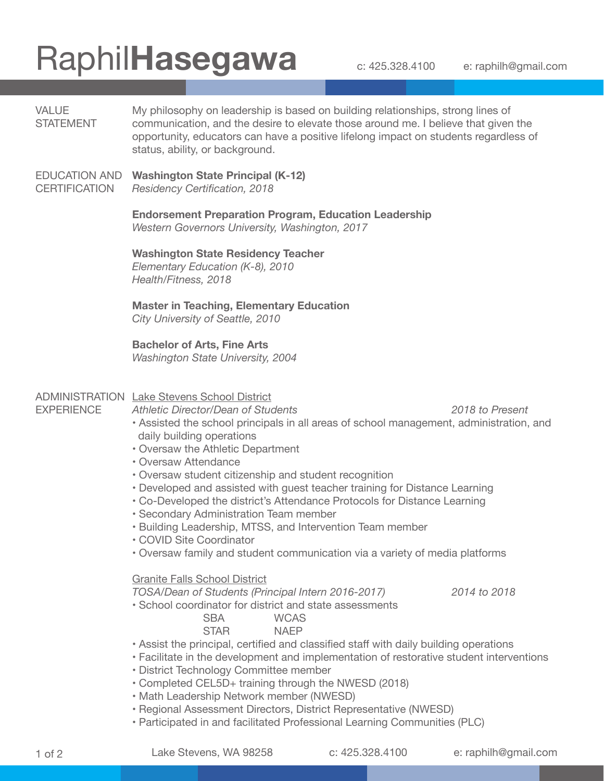## Raphil**Hasegawa** c: 425.328.4100 e: raphilh@gmail.com

| <b>VALUE</b><br><b>STATEMENT</b>             | My philosophy on leadership is based on building relationships, strong lines of<br>communication, and the desire to elevate those around me. I believe that given the<br>opportunity, educators can have a positive lifelong impact on students regardless of<br>status, ability, or background.                                                                                                                                                                                                                                                                                                                                                                                                                                                                                     |  |
|----------------------------------------------|--------------------------------------------------------------------------------------------------------------------------------------------------------------------------------------------------------------------------------------------------------------------------------------------------------------------------------------------------------------------------------------------------------------------------------------------------------------------------------------------------------------------------------------------------------------------------------------------------------------------------------------------------------------------------------------------------------------------------------------------------------------------------------------|--|
| <b>EDUCATION AND</b><br><b>CERTIFICATION</b> | <b>Washington State Principal (K-12)</b><br><b>Residency Certification, 2018</b>                                                                                                                                                                                                                                                                                                                                                                                                                                                                                                                                                                                                                                                                                                     |  |
|                                              | <b>Endorsement Preparation Program, Education Leadership</b><br>Western Governors University, Washington, 2017                                                                                                                                                                                                                                                                                                                                                                                                                                                                                                                                                                                                                                                                       |  |
|                                              | <b>Washington State Residency Teacher</b><br>Elementary Education (K-8), 2010<br>Health/Fitness, 2018                                                                                                                                                                                                                                                                                                                                                                                                                                                                                                                                                                                                                                                                                |  |
|                                              | <b>Master in Teaching, Elementary Education</b><br>City University of Seattle, 2010                                                                                                                                                                                                                                                                                                                                                                                                                                                                                                                                                                                                                                                                                                  |  |
|                                              | <b>Bachelor of Arts, Fine Arts</b><br><b>Washington State University, 2004</b>                                                                                                                                                                                                                                                                                                                                                                                                                                                                                                                                                                                                                                                                                                       |  |
| <b>EXPERIENCE</b>                            | <b>ADMINISTRATION Lake Stevens School District</b><br><b>Athletic Director/Dean of Students</b><br>2018 to Present<br>• Assisted the school principals in all areas of school management, administration, and<br>daily building operations<br>• Oversaw the Athletic Department<br>• Oversaw Attendance<br>· Oversaw student citizenship and student recognition<br>• Developed and assisted with guest teacher training for Distance Learning<br>• Co-Developed the district's Attendance Protocols for Distance Learning<br>· Secondary Administration Team member<br>• Building Leadership, MTSS, and Intervention Team member<br>• COVID Site Coordinator<br>• Oversaw family and student communication via a variety of media platforms<br><b>Granite Falls School District</b> |  |
|                                              | TOSA/Dean of Students (Principal Intern 2016-2017)<br>2014 to 2018<br>• School coordinator for district and state assessments<br><b>SBA</b><br><b>WCAS</b><br><b>STAR</b><br><b>NAEP</b><br>. Assist the principal, certified and classified staff with daily building operations<br>• Facilitate in the development and implementation of restorative student interventions<br>• District Technology Committee member<br>• Completed CEL5D+ training through the NWESD (2018)<br>• Math Leadership Network member (NWESD)                                                                                                                                                                                                                                                           |  |

- Regional Assessment Directors, District Representative (NWESD)
- Participated in and facilitated Professional Learning Communities (PLC)